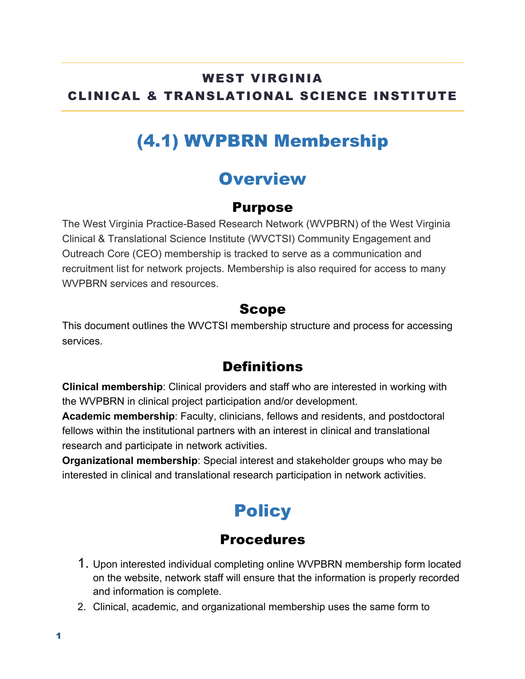#### WEST VIRGINIA CLINICAL & TRANSLATIONAL SCIENCE INSTITUTE

## (4.1) WVPBRN Membership

### **Overview**

#### Purpose

The West Virginia Practice-Based Research Network (WVPBRN) of the West Virginia Clinical & Translational Science Institute (WVCTSI) Community Engagement and Outreach Core (CEO) membership is tracked to serve as a communication and recruitment list for network projects. Membership is also required for access to many WVPBRN services and resources.

#### Scope

This document outlines the WVCTSI membership structure and process for accessing services.

#### **Definitions**

**Clinical membership**: Clinical providers and staff who are interested in working with the WVPBRN in clinical project participation and/or development.

**Academic membership**: Faculty, clinicians, fellows and residents, and postdoctoral fellows within the institutional partners with an interest in clinical and translational research and participate in network activities.

**Organizational membership**: Special interest and stakeholder groups who may be interested in clinical and translational research participation in network activities.

# **Policy**

#### **Procedures**

- 1. Upon interested individual completing online WVPBRN membership form located on the website, network staff will ensure that the information is properly recorded and information is complete.
- 2. Clinical, academic, and organizational membership uses the same form to